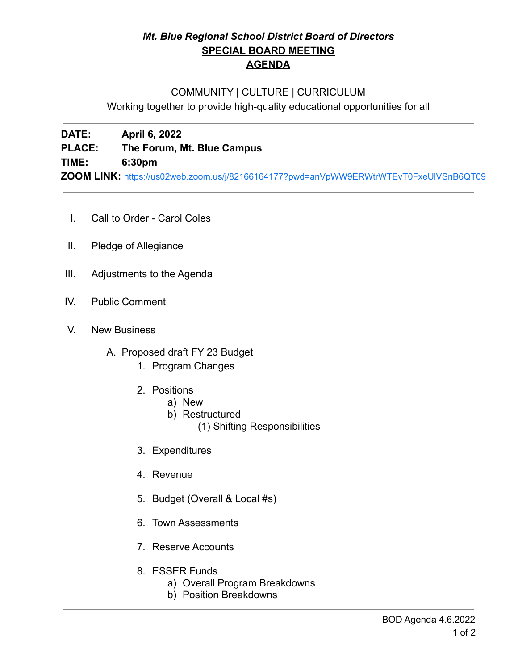# *Mt. Blue Regional School District Board of Directors* **SPECIAL BOARD MEETING AGENDA**

## COMMUNITY | CULTURE | CURRICULUM

Working together to provide high-quality educational opportunities for all

**DATE: April 6, 2022 PLACE: The Forum, Mt. Blue Campus TIME: 6:30pm ZOOM LINK:** <https://us02web.zoom.us/j/82166164177?pwd=anVpWW9ERWtrWTEvT0FxeUlVSnB6QT09>

- I. Call to Order Carol Coles
- II. Pledge of Allegiance
- III. Adjustments to the Agenda
- IV. Public Comment
- V. New Business
	- A. Proposed draft FY 23 Budget
		- 1. Program Changes
		- 2. Positions
			- a) New
			- b) Restructured
				- (1) Shifting Responsibilities
		- 3. Expenditures
		- 4. Revenue
		- 5. Budget (Overall & Local #s)
		- 6. Town Assessments
		- 7. Reserve Accounts
		- 8. ESSER Funds
			- a) Overall Program Breakdowns
			- b) Position Breakdowns